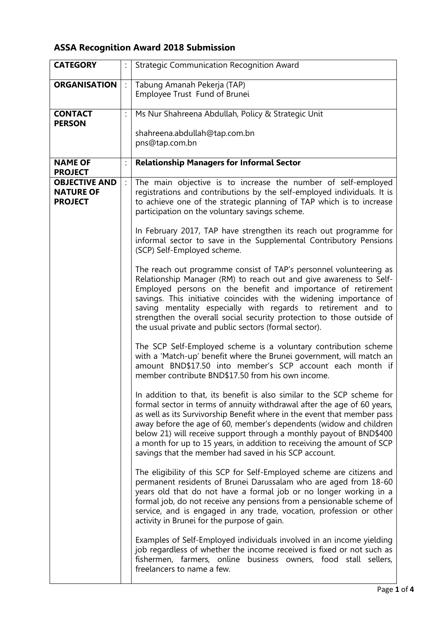## **ASSA Recognition Award 2018 Submission**

| <b>CATEGORY</b>                                            |                | <b>Strategic Communication Recognition Award</b>                                                                                                                                                                                                                                                                                                                                                                                                                                                             |
|------------------------------------------------------------|----------------|--------------------------------------------------------------------------------------------------------------------------------------------------------------------------------------------------------------------------------------------------------------------------------------------------------------------------------------------------------------------------------------------------------------------------------------------------------------------------------------------------------------|
| <b>ORGANISATION</b>                                        | $\ddot{\cdot}$ | Tabung Amanah Pekerja (TAP)<br>Employee Trust Fund of Brunei                                                                                                                                                                                                                                                                                                                                                                                                                                                 |
| <b>CONTACT</b><br><b>PERSON</b>                            |                | Ms Nur Shahreena Abdullah, Policy & Strategic Unit                                                                                                                                                                                                                                                                                                                                                                                                                                                           |
|                                                            |                | shahreena.abdullah@tap.com.bn<br>pns@tap.com.bn                                                                                                                                                                                                                                                                                                                                                                                                                                                              |
| <b>NAME OF</b><br><b>PROJECT</b>                           |                | <b>Relationship Managers for Informal Sector</b>                                                                                                                                                                                                                                                                                                                                                                                                                                                             |
| <b>OBJECTIVE AND</b><br><b>NATURE OF</b><br><b>PROJECT</b> |                | The main objective is to increase the number of self-employed<br>registrations and contributions by the self-employed individuals. It is<br>to achieve one of the strategic planning of TAP which is to increase<br>participation on the voluntary savings scheme.                                                                                                                                                                                                                                           |
|                                                            |                | In February 2017, TAP have strengthen its reach out programme for<br>informal sector to save in the Supplemental Contributory Pensions<br>(SCP) Self-Employed scheme.                                                                                                                                                                                                                                                                                                                                        |
|                                                            |                | The reach out programme consist of TAP's personnel volunteering as<br>Relationship Manager (RM) to reach out and give awareness to Self-<br>Employed persons on the benefit and importance of retirement<br>savings. This initiative coincides with the widening importance of<br>saving mentality especially with regards to retirement and to<br>strengthen the overall social security protection to those outside of<br>the usual private and public sectors (formal sector).                            |
|                                                            |                | The SCP Self-Employed scheme is a voluntary contribution scheme<br>with a 'Match-up' benefit where the Brunei government, will match an<br>amount BND\$17.50 into member's SCP account each month if<br>member contribute BND\$17.50 from his own income.                                                                                                                                                                                                                                                    |
|                                                            |                | In addition to that, its benefit is also similar to the SCP scheme for<br>formal sector in terms of annuity withdrawal after the age of 60 years,<br>as well as its Survivorship Benefit where in the event that member pass<br>away before the age of 60, member's dependents (widow and children<br>below 21) will receive support through a monthly payout of BND\$400<br>a month for up to 15 years, in addition to receiving the amount of SCP<br>savings that the member had saved in his SCP account. |
|                                                            |                | The eligibility of this SCP for Self-Employed scheme are citizens and<br>permanent residents of Brunei Darussalam who are aged from 18-60<br>years old that do not have a formal job or no longer working in a<br>formal job, do not receive any pensions from a pensionable scheme of<br>service, and is engaged in any trade, vocation, profession or other<br>activity in Brunei for the purpose of gain.                                                                                                 |
|                                                            |                | Examples of Self-Employed individuals involved in an income yielding<br>job regardless of whether the income received is fixed or not such as<br>fishermen, farmers, online business owners, food stall sellers,<br>freelancers to name a few.                                                                                                                                                                                                                                                               |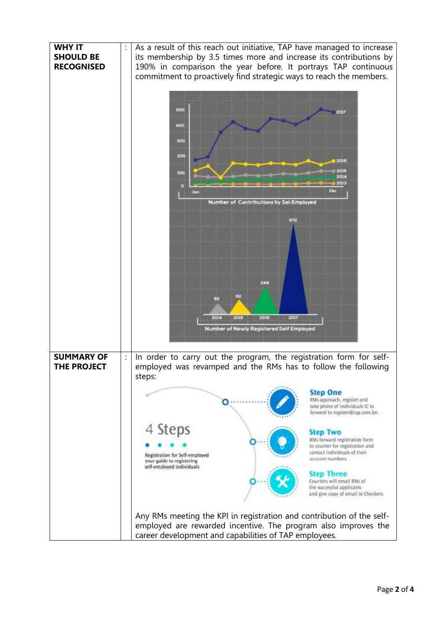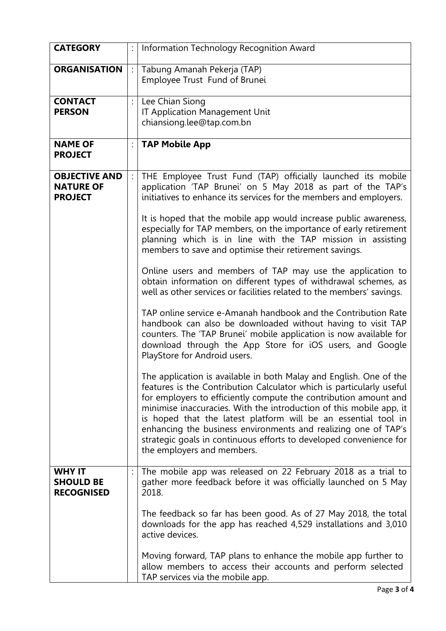| <b>CATEGORY</b>                                            | Information Technology Recognition Award                                                                                                                                                                                                                                                                                                                                                                                                                                                                                      |
|------------------------------------------------------------|-------------------------------------------------------------------------------------------------------------------------------------------------------------------------------------------------------------------------------------------------------------------------------------------------------------------------------------------------------------------------------------------------------------------------------------------------------------------------------------------------------------------------------|
| <b>ORGANISATION</b>                                        | Tabung Amanah Pekerja (TAP)<br>Employee Trust Fund of Brunei                                                                                                                                                                                                                                                                                                                                                                                                                                                                  |
| <b>CONTACT</b><br><b>PERSON</b>                            | Lee Chian Siong<br>IT Application Management Unit<br>chiansiong.lee@tap.com.bn                                                                                                                                                                                                                                                                                                                                                                                                                                                |
| <b>NAME OF</b><br><b>PROJECT</b>                           | <b>TAP Mobile App</b>                                                                                                                                                                                                                                                                                                                                                                                                                                                                                                         |
| <b>OBJECTIVE AND</b><br><b>NATURE OF</b><br><b>PROJECT</b> | THE Employee Trust Fund (TAP) officially launched its mobile<br>application 'TAP Brunei' on 5 May 2018 as part of the TAP's<br>initiatives to enhance its services for the members and employers.                                                                                                                                                                                                                                                                                                                             |
|                                                            | It is hoped that the mobile app would increase public awareness,<br>especially for TAP members, on the importance of early retirement<br>planning which is in line with the TAP mission in assisting<br>members to save and optimise their retirement savings.                                                                                                                                                                                                                                                                |
|                                                            | Online users and members of TAP may use the application to<br>obtain information on different types of withdrawal schemes, as<br>well as other services or facilities related to the members' savings.                                                                                                                                                                                                                                                                                                                        |
|                                                            | TAP online service e-Amanah handbook and the Contribution Rate<br>handbook can also be downloaded without having to visit TAP<br>counters. The 'TAP Brunei' mobile application is now available for<br>download through the App Store for iOS users, and Google<br>PlayStore for Android users.                                                                                                                                                                                                                               |
|                                                            | The application is available in both Malay and English. One of the<br>features is the Contribution Calculator which is particularly useful<br>for employers to efficiently compute the contribution amount and<br>minimise inaccuracies. With the introduction of this mobile app, it<br>is hoped that the latest platform will be an essential tool in<br>enhancing the business environments and realizing one of TAP's<br>strategic goals in continuous efforts to developed convenience for<br>the employers and members. |
| <b>WHY IT</b><br><b>SHOULD BE</b><br><b>RECOGNISED</b>     | The mobile app was released on 22 February 2018 as a trial to<br>gather more feedback before it was officially launched on 5 May<br>2018.                                                                                                                                                                                                                                                                                                                                                                                     |
|                                                            | The feedback so far has been good. As of 27 May 2018, the total<br>downloads for the app has reached 4,529 installations and 3,010<br>active devices.                                                                                                                                                                                                                                                                                                                                                                         |
|                                                            | Moving forward, TAP plans to enhance the mobile app further to<br>allow members to access their accounts and perform selected<br>TAP services via the mobile app.                                                                                                                                                                                                                                                                                                                                                             |